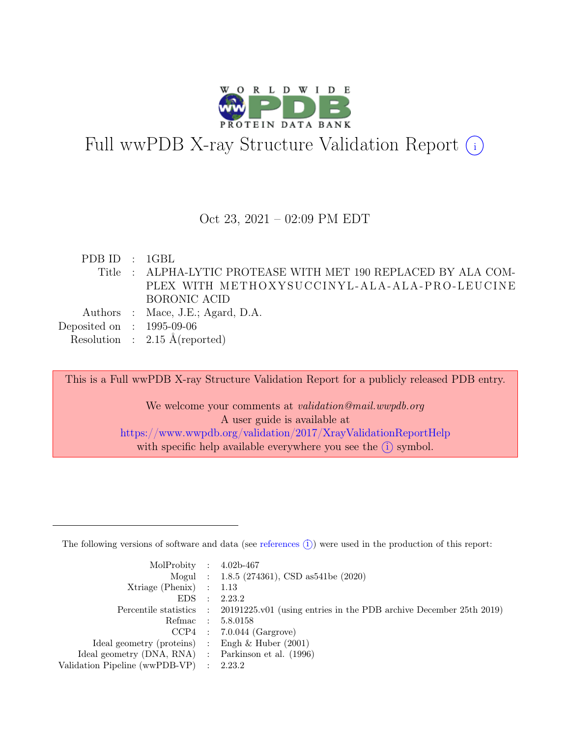

# Full wwPDB X-ray Structure Validation Report  $(i)$

#### Oct 23, 2021 – 02:09 PM EDT

PDB ID : 1GBL Title : ALPHA-LYTIC PROTEASE WITH MET 190 REPLACED BY ALA COM-PLEX WITH METHOXYSUCCINYL-ALA-ALA-PRO-LEUCINE BORONIC ACID Authors : Mace, J.E.; Agard, D.A. Deposited on : 1995-09-06 Resolution : 2.15 Å(reported)

This is a Full wwPDB X-ray Structure Validation Report for a publicly released PDB entry.

We welcome your comments at *validation@mail.wwpdb.org* A user guide is available at <https://www.wwpdb.org/validation/2017/XrayValidationReportHelp> with specific help available everywhere you see the  $(i)$  symbol.

The following versions of software and data (see [references](https://www.wwpdb.org/validation/2017/XrayValidationReportHelp#references)  $(i)$ ) were used in the production of this report:

| MolProbity : $4.02b-467$                            |           |                                                                                            |
|-----------------------------------------------------|-----------|--------------------------------------------------------------------------------------------|
|                                                     |           | Mogul : $1.8.5$ (274361), CSD as 541be (2020)                                              |
| $Xtriangle (Phenix)$ : 1.13                         |           |                                                                                            |
| EDS                                                 | $\cdot$ : | 2.23.2                                                                                     |
|                                                     |           | Percentile statistics : 20191225.v01 (using entries in the PDB archive December 25th 2019) |
| Refmac : 5.8.0158                                   |           |                                                                                            |
|                                                     |           | $CCP4$ : 7.0.044 (Gargrove)                                                                |
| Ideal geometry (proteins) : Engh $\&$ Huber (2001)  |           |                                                                                            |
| Ideal geometry (DNA, RNA) : Parkinson et al. (1996) |           |                                                                                            |
| Validation Pipeline (wwPDB-VP) : 2.23.2             |           |                                                                                            |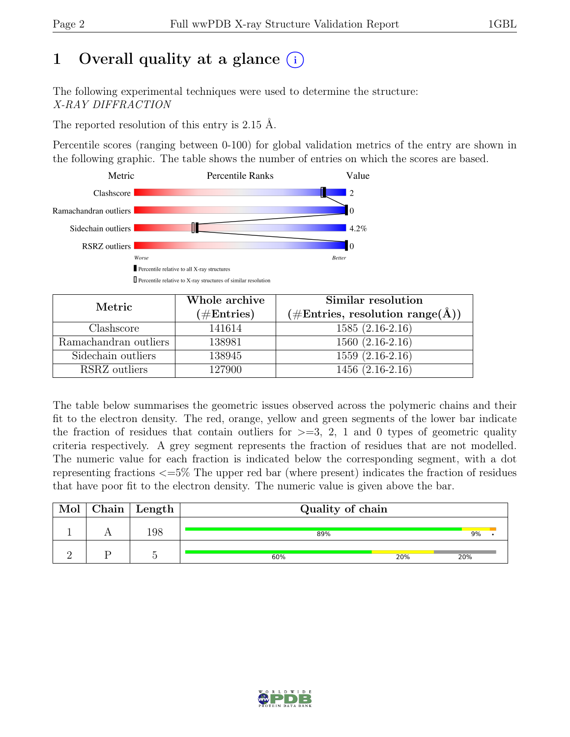# 1 Overall quality at a glance  $(i)$

The following experimental techniques were used to determine the structure: X-RAY DIFFRACTION

The reported resolution of this entry is 2.15 Å.

Percentile scores (ranging between 0-100) for global validation metrics of the entry are shown in the following graphic. The table shows the number of entries on which the scores are based.



| Metric                | Whole archive | Similar resolution                 |
|-----------------------|---------------|------------------------------------|
|                       | $(\#Entries)$ | $(\#Entries, resolution range(A))$ |
| Clashscore            | 141614        | $1585(2.16-2.16)$                  |
| Ramachandran outliers | 138981        | $1560(2.16-2.16)$                  |
| Sidechain outliers    | 138945        | $1559(2.16-2.16)$                  |
| RSRZ outliers         | 127900        | $1456(2.16-2.16)$                  |

The table below summarises the geometric issues observed across the polymeric chains and their fit to the electron density. The red, orange, yellow and green segments of the lower bar indicate the fraction of residues that contain outliers for  $>=$  3, 2, 1 and 0 types of geometric quality criteria respectively. A grey segment represents the fraction of residues that are not modelled. The numeric value for each fraction is indicated below the corresponding segment, with a dot representing fractions <=5% The upper red bar (where present) indicates the fraction of residues that have poor fit to the electron density. The numeric value is given above the bar.

| Mol | $\mid$ Chain $\mid$ Length | Quality of chain |     |     |  |  |  |
|-----|----------------------------|------------------|-----|-----|--|--|--|
|     | 198                        | 89%              |     | 9%  |  |  |  |
|     |                            | 60%              | 20% | 20% |  |  |  |

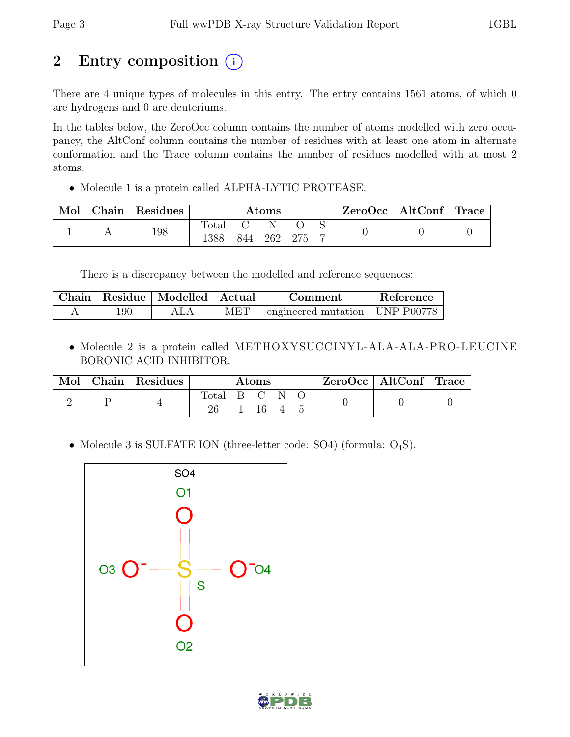# 2 Entry composition  $(i)$

There are 4 unique types of molecules in this entry. The entry contains 1561 atoms, of which 0 are hydrogens and 0 are deuteriums.

In the tables below, the ZeroOcc column contains the number of atoms modelled with zero occupancy, the AltConf column contains the number of residues with at least one atom in alternate conformation and the Trace column contains the number of residues modelled with at most 2 atoms.

• Molecule 1 is a protein called ALPHA-LYTIC PROTEASE.

| Mol | ${\bf Chain}^+$ | $\perp$ Residues | $\rm{Atoms}$  |     |     | $ZeroOcc \mid AltConf \mid Trace$ |  |  |  |
|-----|-----------------|------------------|---------------|-----|-----|-----------------------------------|--|--|--|
|     |                 | 198              | 'otal<br>1388 | 844 | 262 | -275                              |  |  |  |

There is a discrepancy between the modelled and reference sequences:

|     | Chain   Residue   Modelled   Actual |     | Comment                                    | Reference |
|-----|-------------------------------------|-----|--------------------------------------------|-----------|
| 190 |                                     | MET | $\pm$ engineered mutation $\pm$ UNP P00778 |           |

• Molecule 2 is a protein called METHOXYSUCCINYL -ALA -ALA -PRO -LEUCINE BORONIC ACID INHIBITOR.

| Mol | Chain   Residues | Atoms |  |    | $\text{ZeroOcc} \mid \text{AltConf} \mid \text{Trace}$ |  |  |  |
|-----|------------------|-------|--|----|--------------------------------------------------------|--|--|--|
|     |                  | Total |  | 16 |                                                        |  |  |  |

• Molecule 3 is SULFATE ION (three-letter code: SO4) (formula:  $O_4S$ ).



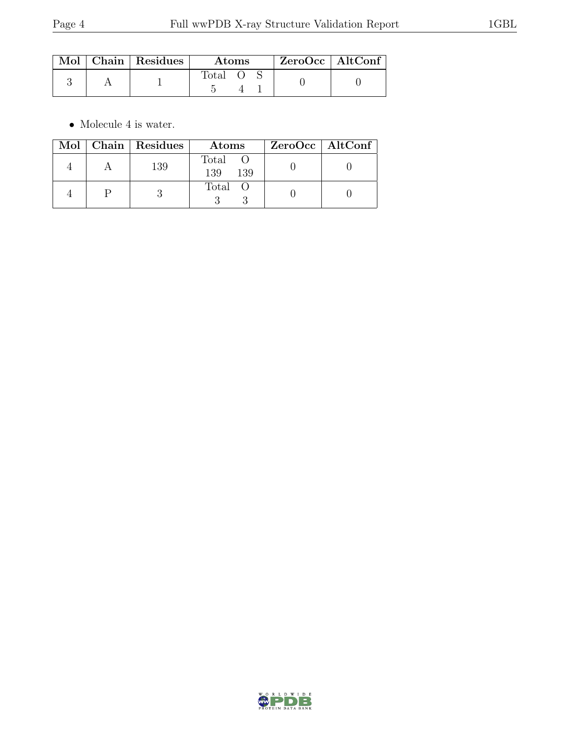|  | $\text{Mol}$   Chain   Residues | <b>Atoms</b> |  |  | $ZeroOcc \   \$ AltConf |
|--|---------------------------------|--------------|--|--|-------------------------|
|  |                                 | fotal        |  |  |                         |

 $\bullet\,$  Molecule 4 is water.

|  | Mol   Chain   Residues | Atoms               | $ZeroOcc \   \$ AltConf |
|--|------------------------|---------------------|-------------------------|
|  | 139                    | Total<br>139<br>139 |                         |
|  |                        | Total O             |                         |

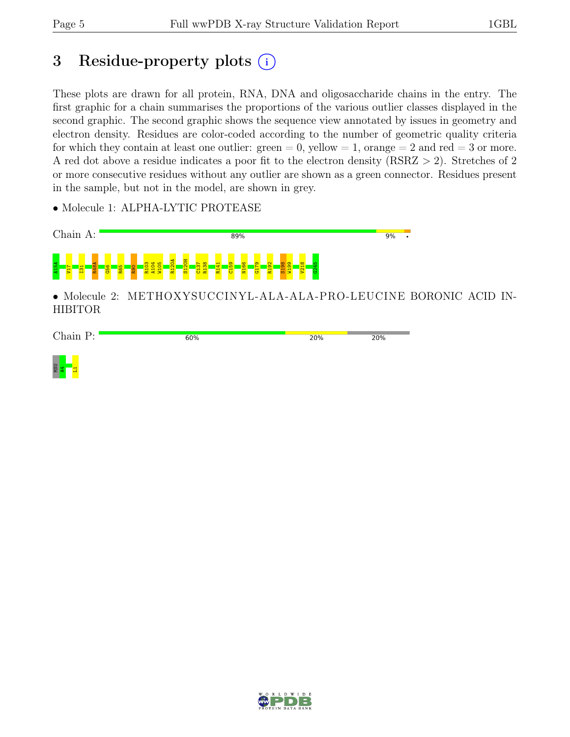MSU<br><mark>44</mark><br>L1

# 3 Residue-property plots (i)

These plots are drawn for all protein, RNA, DNA and oligosaccharide chains in the entry. The first graphic for a chain summarises the proportions of the various outlier classes displayed in the second graphic. The second graphic shows the sequence view annotated by issues in geometry and electron density. Residues are color-coded according to the number of geometric quality criteria for which they contain at least one outlier:  $green = 0$ , yellow  $= 1$ , orange  $= 2$  and red  $= 3$  or more. A red dot above a residue indicates a poor fit to the electron density (RSRZ > 2). Stretches of 2 or more consecutive residues without any outlier are shown as a green connector. Residues present in the sample, but not in the model, are shown in grey.

• Molecule 1: ALPHA-LYTIC PROTEASE



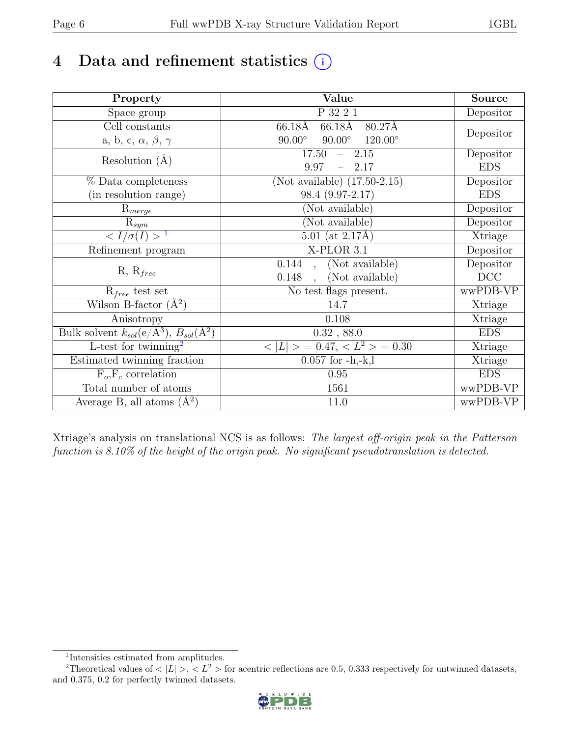# 4 Data and refinement statistics  $(i)$

| Property                                                             | Value                                            | <b>Source</b> |
|----------------------------------------------------------------------|--------------------------------------------------|---------------|
| Space group                                                          | P 32 2 1                                         | Depositor     |
| Cell constants                                                       | 66.18Å<br>$66.18\text{\AA}$<br>80.27Å            |               |
| a, b, c, $\alpha$ , $\beta$ , $\gamma$                               | $90.00^\circ$<br>$90.00^\circ$<br>$120.00^\circ$ | Depositor     |
| Resolution $(A)$                                                     | 17.50<br>2.15<br>$\frac{1}{2}$                   | Depositor     |
|                                                                      | 9.97<br>2.17                                     | <b>EDS</b>    |
| % Data completeness                                                  | (Not available) $(17.50-2.15)$                   | Depositor     |
| (in resolution range)                                                | 98.4 (9.97-2.17)                                 | <b>EDS</b>    |
| $R_{merge}$                                                          | (Not available)                                  | Depositor     |
| $\mathrm{R}_{sym}$                                                   | (Not available)                                  | Depositor     |
| $\sqrt{I/\sigma}(I) > 1$                                             | $5.01$ (at $2.17\text{\AA}$ )                    | Xtriage       |
| Refinement program                                                   | X-PLOR 3.1                                       | Depositor     |
|                                                                      | (Not available)<br>0.144<br>$\ddot{\phantom{a}}$ | Depositor     |
| $R, R_{free}$                                                        | 0.148<br>(Not available)<br>$\ddot{\phantom{a}}$ | DCC           |
| $R_{free}$ test set                                                  | No test flags present.                           | wwPDB-VP      |
| Wilson B-factor $(A^2)$                                              | 14.7                                             | Xtriage       |
| Anisotropy                                                           | 0.108                                            | Xtriage       |
| Bulk solvent $k_{sol}(e/\mathring{A}^3)$ , $B_{sol}(\mathring{A}^2)$ | 0.32, 88.0                                       | <b>EDS</b>    |
| $\overline{\text{L-test}}$ for twinning <sup>2</sup>                 | $< L >$ = 0.47, $< L2 >$ = 0.30                  | Xtriage       |
| Estimated twinning fraction                                          | $0.057$ for $-h,-k,l$                            | Xtriage       |
| $F_o, F_c$ correlation                                               | 0.95                                             | <b>EDS</b>    |
| Total number of atoms                                                | 1561                                             | wwPDB-VP      |
| Average B, all atoms $(A^2)$                                         | 11.0                                             | wwPDB-VP      |

Xtriage's analysis on translational NCS is as follows: The largest off-origin peak in the Patterson function is 8.10% of the height of the origin peak. No significant pseudotranslation is detected.

<sup>&</sup>lt;sup>2</sup>Theoretical values of  $\langle |L| \rangle$ ,  $\langle L^2 \rangle$  for acentric reflections are 0.5, 0.333 respectively for untwinned datasets, and 0.375, 0.2 for perfectly twinned datasets.



<span id="page-5-1"></span><span id="page-5-0"></span><sup>1</sup> Intensities estimated from amplitudes.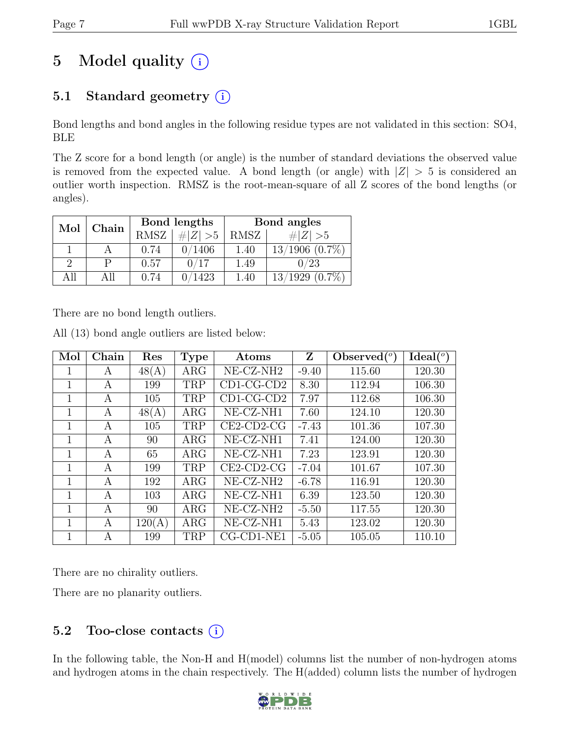# 5 Model quality  $(i)$

## 5.1 Standard geometry  $(i)$

Bond lengths and bond angles in the following residue types are not validated in this section: SO4, BLE

The Z score for a bond length (or angle) is the number of standard deviations the observed value is removed from the expected value. A bond length (or angle) with  $|Z| > 5$  is considered an outlier worth inspection. RMSZ is the root-mean-square of all Z scores of the bond lengths (or angles).

| Mol | Chain |      | Bond lengths | Bond angles |                     |  |
|-----|-------|------|--------------|-------------|---------------------|--|
|     |       | RMSZ | # $ Z  > 5$  | RMSZ        | $\# Z  > 5$         |  |
|     |       | 0.74 | 0/1406       | 1.40        | $13/1906$ $(0.7\%)$ |  |
| 9   |       | 0.57 | 0/17         | 1.49        | 0/23                |  |
| All | All   | 0.74 | 0/1423       | 1.40        | $13/1929$ $(0.7\%)$ |  |

There are no bond length outliers.

| Mol | Chain | Res    | <b>Type</b> | Atoms                 | Z       | Observed $(°)$ | $Ideal(^o)$ |
|-----|-------|--------|-------------|-----------------------|---------|----------------|-------------|
|     | A     | 48(A)  | $\rm{ARG}$  | NE-CZ-NH <sub>2</sub> | $-9.40$ | 115.60         | 120.30      |
| 1   | A     | 199    | TRP         | $CD1-CG-CD2$          | 8.30    | 112.94         | 106.30      |
|     | А     | 105    | <b>TRP</b>  | $CD1-CG-CD2$          | 7.97    | 112.68         | 106.30      |
| 1   | A     | 48(A)  | $\rm{ARG}$  | $NE- CZ-NH1$          | 7.60    | 124.10         | 120.30      |
| 1   | A     | 105    | <b>TRP</b>  | $CE2$ -CD2-CG         | $-7.43$ | 101.36         | 107.30      |
| 1   | А     | 90     | $\rm{ARG}$  | NE-CZ-NH1             | 7.41    | 124.00         | 120.30      |
| 1   | А     | 65     | $\rm{ARG}$  | NE-CZ-NH1             | 7.23    | 123.91         | 120.30      |
| 1   | А     | 199    | TRP         | $CE2$ -CD2-CG         | $-7.04$ | 101.67         | 107.30      |
| 1   | А     | 192    | $\rm{ARG}$  | NE-CZ-NH <sub>2</sub> | $-6.78$ | 116.91         | 120.30      |
| 1   | А     | 103    | $\rm{ARG}$  | NE-CZ-NH1             | 6.39    | 123.50         | 120.30      |
|     | A     | 90     | $\rm{ARG}$  | $NE- CZ-NH2$          | $-5.50$ | 117.55         | 120.30      |
| 1   | A     | 120(A) | $\rm{ARG}$  | NE-CZ-NH1             | 5.43    | 123.02         | 120.30      |
|     | А     | 199    | <b>TRP</b>  | $CG$ - $CD1$ - $NE1$  | $-5.05$ | 105.05         | 110.10      |

All (13) bond angle outliers are listed below:

There are no chirality outliers.

There are no planarity outliers.

## 5.2 Too-close contacts  $(i)$

In the following table, the Non-H and H(model) columns list the number of non-hydrogen atoms and hydrogen atoms in the chain respectively. The H(added) column lists the number of hydrogen

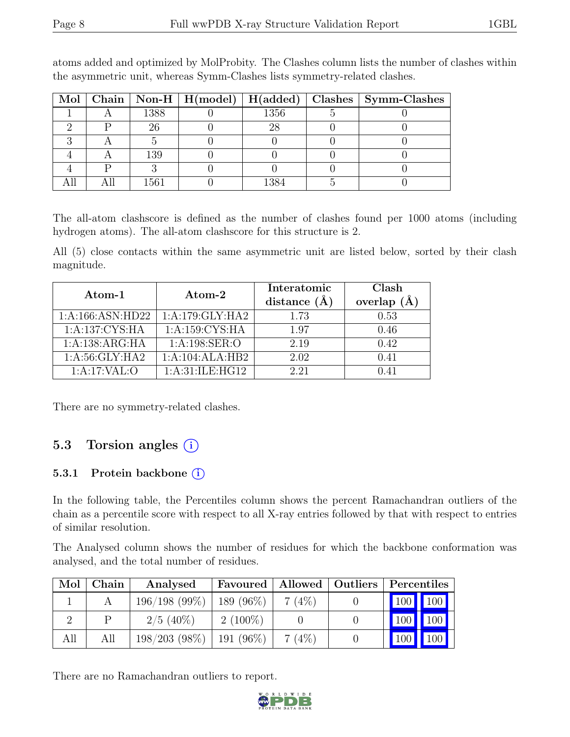|  |      |         | Mol   Chain   Non-H   H(model)   H(added)   Clashes   Symm-Clashes |
|--|------|---------|--------------------------------------------------------------------|
|  | 1388 | 1356    |                                                                    |
|  | 26   | 28      |                                                                    |
|  |      |         |                                                                    |
|  | 139  |         |                                                                    |
|  |      |         |                                                                    |
|  | 1561 | 1 2 Q / |                                                                    |

atoms added and optimized by MolProbity. The Clashes column lists the number of clashes within the asymmetric unit, whereas Symm-Clashes lists symmetry-related clashes.

The all-atom clashscore is defined as the number of clashes found per 1000 atoms (including hydrogen atoms). The all-atom clashscore for this structure is 2.

All (5) close contacts within the same asymmetric unit are listed below, sorted by their clash magnitude.

| Atom- $1$         | Atom-2            | Interatomic<br>distance $(\AA)$ | Clash<br>overlap $(\AA)$ |
|-------------------|-------------------|---------------------------------|--------------------------|
| 1:A:166:ASN:HD22  | 1:A:179:GLY:HA2   | 1.73                            | 0.53                     |
| 1:A:137:CYS:HA    | 1:A:159:CYS:HA    | 1.97                            | 0.46                     |
| 1:A:138:ARG:HA    | 1: A:198: SER:O   | 2.19                            | 0.42                     |
| 1: A:56: GLY: HA2 | 1:A:104:ALA:HB2   | 2.02                            | 0.41                     |
| 1:A:17:VAL:O      | 1: A:31:ILE: HG12 | 2.21                            | 0.41                     |

There are no symmetry-related clashes.

### 5.3 Torsion angles  $(i)$

#### 5.3.1 Protein backbone (i)

In the following table, the Percentiles column shows the percent Ramachandran outliers of the chain as a percentile score with respect to all X-ray entries followed by that with respect to entries of similar resolution.

The Analysed column shows the number of residues for which the backbone conformation was analysed, and the total number of residues.

| Mol | Chain | Analysed        | Favoured     | Allowed  | Outliers | Percentiles |
|-----|-------|-----------------|--------------|----------|----------|-------------|
|     |       | 196/198(99%)    | 189 $(96\%)$ | $7(4\%)$ |          | 100         |
|     | р     | $2/5$ (40%)     | $2(100\%)$   |          |          | 100         |
| All | All   | $198/203$ (98%) | 191 (96%)    | 7(4%)    |          |             |

There are no Ramachandran outliers to report.

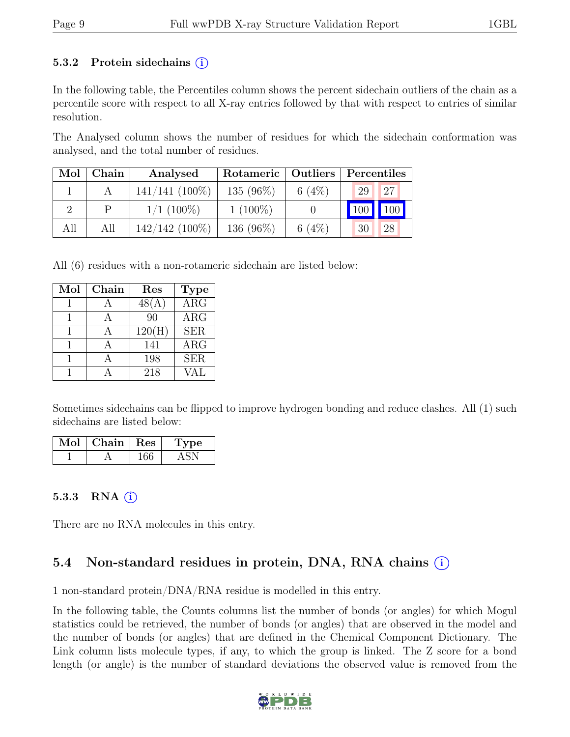#### 5.3.2 Protein sidechains  $(i)$

In the following table, the Percentiles column shows the percent sidechain outliers of the chain as a percentile score with respect to all X-ray entries followed by that with respect to entries of similar resolution.

The Analysed column shows the number of residues for which the sidechain conformation was analysed, and the total number of residues.

| Mol | Chain | Analysed         | Rotameric   Outliers |           | Percentiles                    |  |  |
|-----|-------|------------------|----------------------|-----------|--------------------------------|--|--|
|     |       | $141/141$ (100%) | 135 (96%)            | 6 $(4\%)$ | 127<br>29                      |  |  |
|     |       | $1/1~(100\%)$    | $1(100\%)$           |           | $\parallel$ 100<br>$\vert$ 100 |  |  |
| All | All   | $142/142$ (100%) | 136 (96%)            | 6 $(4%)$  | 28<br>30                       |  |  |

All (6) residues with a non-rotameric sidechain are listed below:

| Mol | Chain | Res    | <b>Type</b>             |
|-----|-------|--------|-------------------------|
|     |       | 48(A)  | $\overline{\text{ARG}}$ |
|     |       | 90     | $\rm{ARG}$              |
|     |       | 120(H) | <b>SER</b>              |
|     |       | 141    | $\rm{ARG}$              |
|     |       | 198    | <b>SER</b>              |
|     |       | 218    | VAL                     |

Sometimes sidechains can be flipped to improve hydrogen bonding and reduce clashes. All (1) such sidechains are listed below:

| Mol | Chain   Res | Type |
|-----|-------------|------|
|     |             |      |

#### 5.3.3 RNA  $(i)$

There are no RNA molecules in this entry.

## 5.4 Non-standard residues in protein, DNA, RNA chains (i)

1 non-standard protein/DNA/RNA residue is modelled in this entry.

In the following table, the Counts columns list the number of bonds (or angles) for which Mogul statistics could be retrieved, the number of bonds (or angles) that are observed in the model and the number of bonds (or angles) that are defined in the Chemical Component Dictionary. The Link column lists molecule types, if any, to which the group is linked. The Z score for a bond length (or angle) is the number of standard deviations the observed value is removed from the

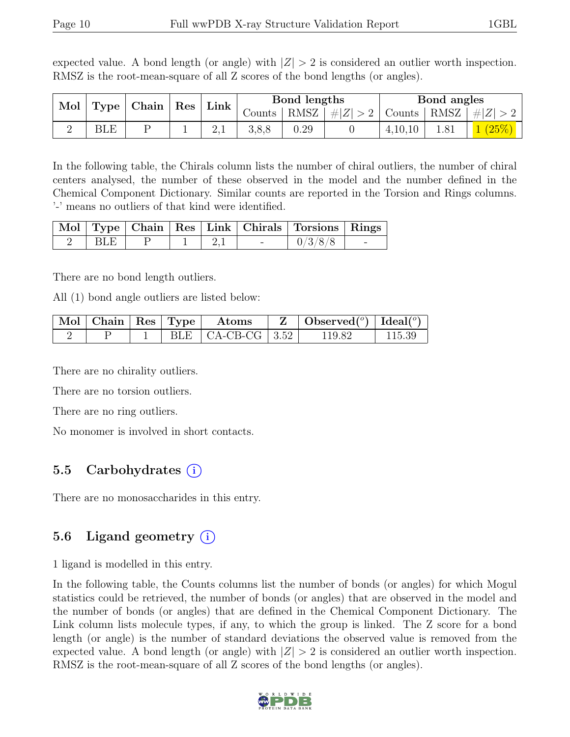expected value. A bond length (or angle) with  $|Z| > 2$  is considered an outlier worth inspection. RMSZ is the root-mean-square of all Z scores of the bond lengths (or angles).

| Mol |     | Type   Chain   Res   Link |  | Bond lengths |      |                                          | Bond angles |  |         |
|-----|-----|---------------------------|--|--------------|------|------------------------------------------|-------------|--|---------|
|     |     |                           |  | Counts       | RMSZ | $\left  \#Z \right  > 2$   Counts   RMSZ |             |  | $\# Z $ |
|     | BLE |                           |  |              |      |                                          | 4,10,10     |  |         |

In the following table, the Chirals column lists the number of chiral outliers, the number of chiral centers analysed, the number of these observed in the model and the number defined in the Chemical Component Dictionary. Similar counts are reported in the Torsion and Rings columns. '-' means no outliers of that kind were identified.

|                  |  |     |                                 | Mol   Type   Chain   Res   Link   Chirals   Torsions   Rings |  |
|------------------|--|-----|---------------------------------|--------------------------------------------------------------|--|
| $\overline{BLE}$ |  | 2,1 | <b>Contract Contract Street</b> |                                                              |  |

There are no bond length outliers.

All (1) bond angle outliers are listed below:

|  |  | $\vert$ Mol $\vert$ Chain $\vert$ Res $\vert$ Type $\vert$ Atoms | $\mathbf{Z}$   Observed( $^o$ )   Ideal( $^o$ ) |        |
|--|--|------------------------------------------------------------------|-------------------------------------------------|--------|
|  |  | BLE $\vert$ CA-CB-CG $\vert$ 3.52 $\vert$                        | 119.82                                          | 115.39 |

There are no chirality outliers.

There are no torsion outliers.

There are no ring outliers.

No monomer is involved in short contacts.

### 5.5 Carbohydrates (i)

There are no monosaccharides in this entry.

### 5.6 Ligand geometry (i)

1 ligand is modelled in this entry.

In the following table, the Counts columns list the number of bonds (or angles) for which Mogul statistics could be retrieved, the number of bonds (or angles) that are observed in the model and the number of bonds (or angles) that are defined in the Chemical Component Dictionary. The Link column lists molecule types, if any, to which the group is linked. The Z score for a bond length (or angle) is the number of standard deviations the observed value is removed from the expected value. A bond length (or angle) with  $|Z| > 2$  is considered an outlier worth inspection. RMSZ is the root-mean-square of all Z scores of the bond lengths (or angles).

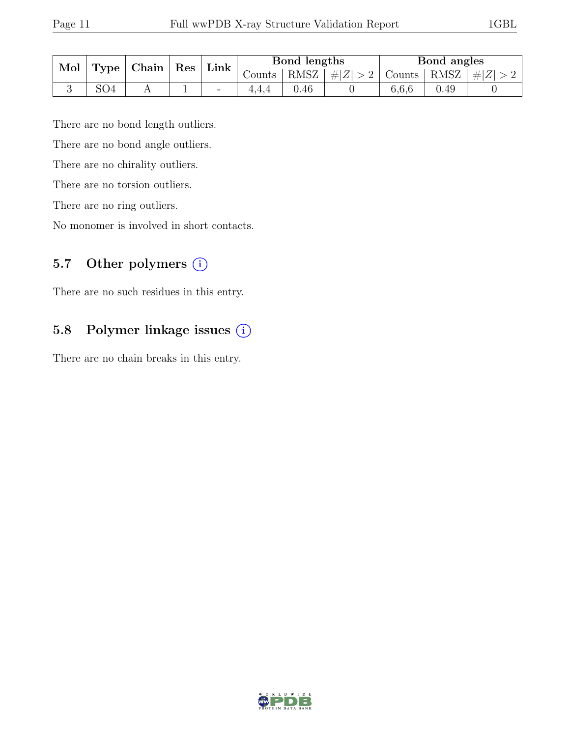| Mol<br>Type |                 | Chain | $\operatorname{Res}$ | $Link_1$ | Bond lengths |      |                                                          | Bond angles |                 |  |
|-------------|-----------------|-------|----------------------|----------|--------------|------|----------------------------------------------------------|-------------|-----------------|--|
|             |                 |       |                      |          | Counts       |      | $\vert$ RMSZ $\vert \# \vert Z \vert > 2$ Counts $\vert$ |             | $ RMSZ  \#  Z $ |  |
|             | SO <sub>4</sub> |       |                      | -        |              | 0.46 |                                                          | 6.6.6       | 0.49            |  |

There are no bond length outliers.

There are no bond angle outliers.

There are no chirality outliers.

There are no torsion outliers.

There are no ring outliers.

No monomer is involved in short contacts.

### 5.7 Other polymers (i)

There are no such residues in this entry.

### 5.8 Polymer linkage issues (i)

There are no chain breaks in this entry.

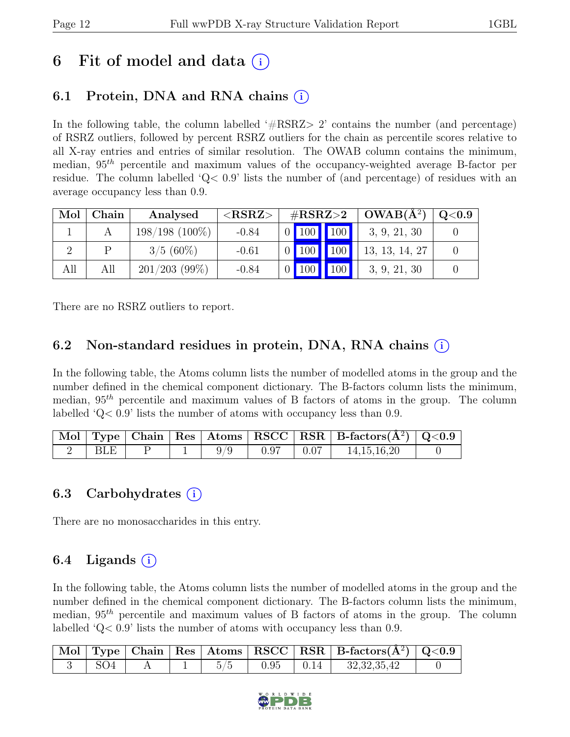## 6 Fit of model and data  $(i)$

## 6.1 Protein, DNA and RNA chains  $(i)$

In the following table, the column labelled  $#RSRZ>2$  contains the number (and percentage) of RSRZ outliers, followed by percent RSRZ outliers for the chain as percentile scores relative to all X-ray entries and entries of similar resolution. The OWAB column contains the minimum, median,  $95<sup>th</sup>$  percentile and maximum values of the occupancy-weighted average B-factor per residue. The column labelled ' $Q<.9$ ' lists the number of (and percentage) of residues with an average occupancy less than 0.9.

| Mol | Chain | Analysed         | $<$ RSRZ $>$ | $\rm \#RSRZ{>}2$ |     |             | $OWAB(A^2)$    | Q <sub>0.9</sub> |
|-----|-------|------------------|--------------|------------------|-----|-------------|----------------|------------------|
|     |       | $198/198$ (100%) | $-0.84$      |                  |     | 0 100 100   | 3, 9, 21, 30   |                  |
|     |       | $3/5(60\%)$      | $-0.61$      |                  |     | $0$ 100 100 | 13, 13, 14, 27 |                  |
| All | All   | $201/203$ (99%)  | $-0.84$      |                  | 100 | 100         | 3, 9, 21, 30   |                  |

There are no RSRZ outliers to report.

### 6.2 Non-standard residues in protein, DNA, RNA chains (i)

In the following table, the Atoms column lists the number of modelled atoms in the group and the number defined in the chemical component dictionary. The B-factors column lists the minimum, median,  $95<sup>th</sup>$  percentile and maximum values of B factors of atoms in the group. The column labelled 'Q< 0.9' lists the number of atoms with occupancy less than 0.9.

|            |  |      |              | $\vert$ Mol $\vert$ Type $\vert$ Chain $\vert$ Res $\vert$ Atoms $\vert$ RSCC $\vert$ RSR $\vert$ B-factors( $A^2$ ) $\vert$ Q<0.9 |  |
|------------|--|------|--------------|------------------------------------------------------------------------------------------------------------------------------------|--|
| <b>BLE</b> |  | 0.97 | $\vert 0.07$ | 14, 15, 16, 20                                                                                                                     |  |

### 6.3 Carbohydrates  $(i)$

There are no monosaccharides in this entry.

## $6.4$  Ligands  $(i)$

In the following table, the Atoms column lists the number of modelled atoms in the group and the number defined in the chemical component dictionary. The B-factors column lists the minimum, median,  $95<sup>th</sup>$  percentile and maximum values of B factors of atoms in the group. The column labelled 'Q< 0.9' lists the number of atoms with occupancy less than 0.9.

|                 |  |      |      | $\vert$ Mol $\vert$ Type $\vert$ Chain $\vert$ Res $\vert$ Atoms $\vert$ RSCC $\vert$ RSR $\vert$ B-factors( $\AA^2$ ) $\vert$ Q<0.9 |  |
|-----------------|--|------|------|--------------------------------------------------------------------------------------------------------------------------------------|--|
| SO <sub>4</sub> |  | 0.95 | 0.14 | 32, 32, 35, 42                                                                                                                       |  |